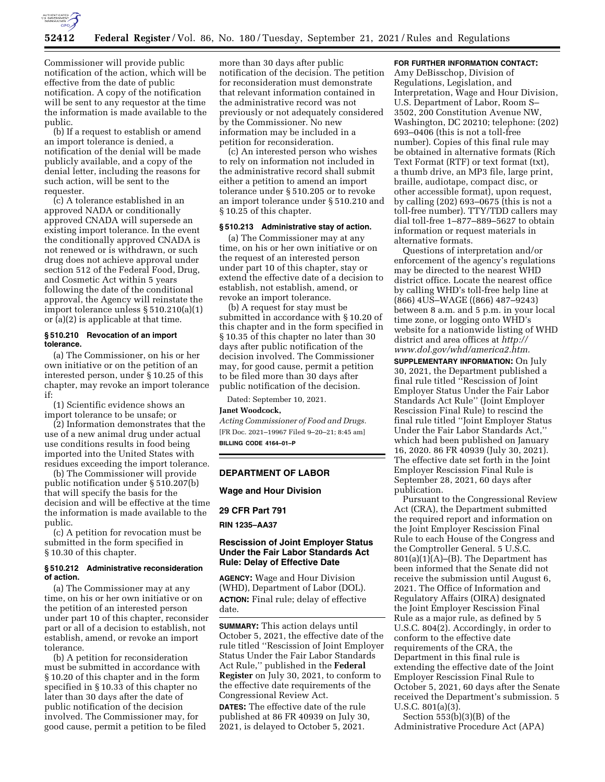

Commissioner will provide public notification of the action, which will be effective from the date of public notification. A copy of the notification will be sent to any requestor at the time the information is made available to the public.

(b) If a request to establish or amend an import tolerance is denied, a notification of the denial will be made publicly available, and a copy of the denial letter, including the reasons for such action, will be sent to the requester.

(c) A tolerance established in an approved NADA or conditionally approved CNADA will supersede an existing import tolerance. In the event the conditionally approved CNADA is not renewed or is withdrawn, or such drug does not achieve approval under section 512 of the Federal Food, Drug, and Cosmetic Act within 5 years following the date of the conditional approval, the Agency will reinstate the import tolerance unless § 510.210(a)(1) or (a)(2) is applicable at that time.

#### **§ 510.210 Revocation of an import tolerance.**

(a) The Commissioner, on his or her own initiative or on the petition of an interested person, under § 10.25 of this chapter, may revoke an import tolerance if:

(1) Scientific evidence shows an import tolerance to be unsafe; or

(2) Information demonstrates that the use of a new animal drug under actual use conditions results in food being imported into the United States with residues exceeding the import tolerance.

(b) The Commissioner will provide public notification under § 510.207(b) that will specify the basis for the decision and will be effective at the time the information is made available to the public.

(c) A petition for revocation must be submitted in the form specified in § 10.30 of this chapter.

#### **§ 510.212 Administrative reconsideration of action.**

(a) The Commissioner may at any time, on his or her own initiative or on the petition of an interested person under part 10 of this chapter, reconsider part or all of a decision to establish, not establish, amend, or revoke an import tolerance.

(b) A petition for reconsideration must be submitted in accordance with § 10.20 of this chapter and in the form specified in § 10.33 of this chapter no later than 30 days after the date of public notification of the decision involved. The Commissioner may, for good cause, permit a petition to be filed

more than 30 days after public notification of the decision. The petition for reconsideration must demonstrate that relevant information contained in the administrative record was not previously or not adequately considered by the Commissioner. No new information may be included in a petition for reconsideration.

(c) An interested person who wishes to rely on information not included in the administrative record shall submit either a petition to amend an import tolerance under § 510.205 or to revoke an import tolerance under § 510.210 and § 10.25 of this chapter.

# **§ 510.213 Administrative stay of action.**

(a) The Commissioner may at any time, on his or her own initiative or on the request of an interested person under part 10 of this chapter, stay or extend the effective date of a decision to establish, not establish, amend, or revoke an import tolerance.

(b) A request for stay must be submitted in accordance with § 10.20 of this chapter and in the form specified in § 10.35 of this chapter no later than 30 days after public notification of the decision involved. The Commissioner may, for good cause, permit a petition to be filed more than 30 days after public notification of the decision.

Dated: September 10, 2021.

#### **Janet Woodcock,**

*Acting Commissioner of Food and Drugs.*  [FR Doc. 2021–19967 Filed 9–20–21; 8:45 am] **BILLING CODE 4164–01–P** 

#### **DEPARTMENT OF LABOR**

#### **Wage and Hour Division**

**29 CFR Part 791** 

**RIN 1235–AA37** 

# **Rescission of Joint Employer Status Under the Fair Labor Standards Act Rule: Delay of Effective Date**

**AGENCY:** Wage and Hour Division (WHD), Department of Labor (DOL). **ACTION:** Final rule; delay of effective date.

**SUMMARY:** This action delays until October 5, 2021, the effective date of the rule titled ''Rescission of Joint Employer Status Under the Fair Labor Standards Act Rule,'' published in the **Federal Register** on July 30, 2021, to conform to the effective date requirements of the Congressional Review Act.

**DATES:** The effective date of the rule published at 86 FR 40939 on July 30, 2021, is delayed to October 5, 2021.

## **FOR FURTHER INFORMATION CONTACT:**

Amy DeBisschop, Division of Regulations, Legislation, and Interpretation, Wage and Hour Division, U.S. Department of Labor, Room S– 3502, 200 Constitution Avenue NW, Washington, DC 20210; telephone: (202) 693–0406 (this is not a toll-free number). Copies of this final rule may be obtained in alternative formats (Rich Text Format (RTF) or text format (txt), a thumb drive, an MP3 file, large print, braille, audiotape, compact disc, or other accessible format), upon request, by calling (202) 693–0675 (this is not a toll-free number). TTY/TDD callers may dial toll-free 1–877–889–5627 to obtain information or request materials in alternative formats.

Questions of interpretation and/or enforcement of the agency's regulations may be directed to the nearest WHD district office. Locate the nearest office by calling WHD's toll-free help line at (866) 4US–WAGE ((866) 487–9243) between 8 a.m. and 5 p.m. in your local time zone, or logging onto WHD's website for a nationwide listing of WHD district and area offices at *[http://](http://www.dol.gov/whd/america2.htm) [www.dol.gov/whd/america2.htm.](http://www.dol.gov/whd/america2.htm)* 

**SUPPLEMENTARY INFORMATION:** On July 30, 2021, the Department published a final rule titled ''Rescission of Joint Employer Status Under the Fair Labor Standards Act Rule'' (Joint Employer Rescission Final Rule) to rescind the final rule titled ''Joint Employer Status Under the Fair Labor Standards Act,'' which had been published on January 16, 2020. 86 FR 40939 (July 30, 2021). The effective date set forth in the Joint Employer Rescission Final Rule is September 28, 2021, 60 days after publication.

Pursuant to the Congressional Review Act (CRA), the Department submitted the required report and information on the Joint Employer Rescission Final Rule to each House of the Congress and the Comptroller General. 5 U.S.C.  $801(a)(1)(A)$ –(B). The Department has been informed that the Senate did not receive the submission until August 6, 2021. The Office of Information and Regulatory Affairs (OIRA) designated the Joint Employer Rescission Final Rule as a major rule, as defined by 5 U.S.C. 804(2). Accordingly, in order to conform to the effective date requirements of the CRA, the Department in this final rule is extending the effective date of the Joint Employer Rescission Final Rule to October 5, 2021, 60 days after the Senate received the Department's submission. 5 U.S.C. 801(a)(3).

Section 553(b)(3)(B) of the Administrative Procedure Act (APA)